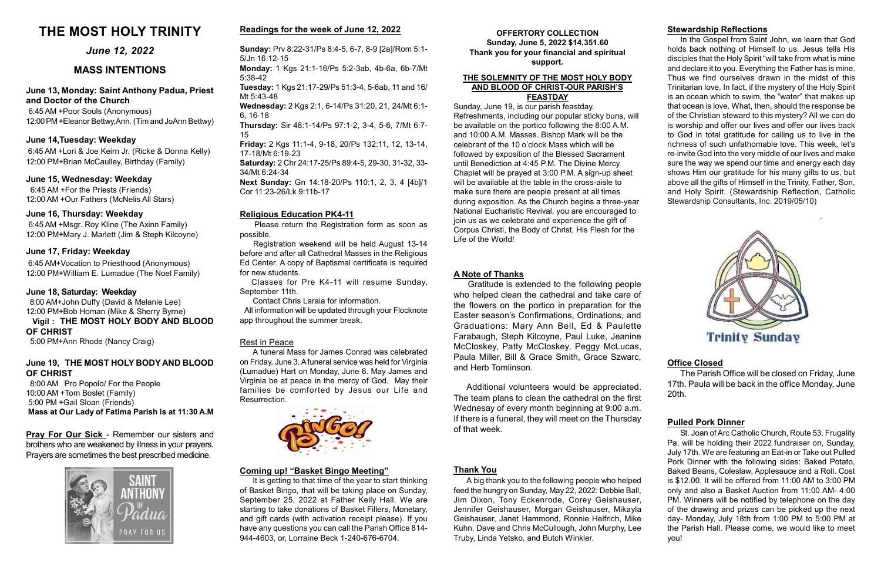# June 19, THE MOST HOLY BODY AND BLOOD OF CHRIST

 8:00 AM Pro Popolo/ For the People 10:00 AM +Tom Boslet (Family) 5:00 PM +Gail Sloan (Friends) Mass at Our Lady of Fatima Parish is at 11:30 A.M

# June 13, Monday: Saint Anthony Padua, Priest and Doctor of the Church

6:45 AM +Poor Souls (Anonymous) 12:00 PM +Eleanor Bettwy,Ann. (Tim and JoAnn Bettwy)

OFFERTORY COLLECTION Sunday, June 5, 2022 \$14,351.60 Thank you for your financial and spiritual support.

# June 17, Friday: Weekday

6:45 AM+Vocation to Priesthood (Anonymous) 12:00 PM+William E. Lumadue (The Noel Family)

# June 12, 2022

# MASS INTENTIONS

# Stewardship Reflections

In the Gospel from Saint John, we learn that God holds back nothing of Himself to us. Jesus tells His disciples that the Holy Spirit "will take from what is mine and declare it to you. Everything the Father has is mine. Thus we find ourselves drawn in the midst of this Trinitarian love. In fact, if the mystery of the Holy Spirit is an ocean which to swim, the "water" that makes up that ocean is love. What, then, should the response be of the Christian steward to this mystery? All we can do is worship and offer our lives and offer our lives back to God in total gratitude for calling us to live in the richness of such unfathomable love. This week, let's re-invite God into the very middle of our lives and make sure the way we spend our time and energy each day shows Him our gratitude for his many gifts to us, but above all the gifts of Himself in the Trinity, Father, Son, and Holy Spirit. (Stewardship Reflection, Catholic Stewardship Consultants, Inc. 2019/05/10)



# Religious Education PK4-11

 Please return the Registration form as soon as possible.

 Registration weekend will be held August 13-14 before and after all Cathedral Masses in the Religious Ed Center. A copy of Baptismal certificate is required for new students.

 Classes for Pre K4-11 will resume Sunday, September 11th.

Contact Chris Laraia for information.

 All information will be updated through your Flocknote app throughout the summer break.

# Coming up! "Basket Bingo Meeting"

It is getting to that time of the year to start thinking of Basket Bingo, that will be taking place on Sunday, September 25, 2022 at Father Kelly Hall. We are starting to take donations of Basket Fillers, Monetary, and gift cards (with activation receipt please). If you have any questions you can call the Parish Office 814- 944-4603, or, Lorraine Beck 1-240-676-6704.

Pray For Our Sick - Remember our sisters and brothers who are weakened by illness in your prayers. Prayers are sometimes the best prescribed medicine.



# THE MOST HOLY TRINITY

# June 15, Wednesday: Weekday

 6:45 AM +For the Priests (Friends) 12:00 AM +Our Fathers (McNelis All Stars)

# June 14,Tuesday: Weekday

 6:45 AM +Lori & Joe Keirn Jr. (Ricke & Donna Kelly) 12:00 PM+Brian McCaulley, Birthday (Family)

# June 16, Thursday: Weekday

6:45 AM +Msgr. Roy Kline (The Axinn Family) 12:00 PM+Mary J. Marlett (Jim & Steph Kilcoyne)

# Pulled Pork Dinner

St. Joan of Arc Catholic Church, Route 53, Frugality Pa, will be holding their 2022 fundraiser on, Sunday, July 17th. We are featuring an Eat-in or Take out Pulled Pork Dinner with the following sides: Baked Potato, Baked Beans, Coleslaw, Applesauce and a Roll. Cost is \$12.00, It will be offered from 11:00 AM to 3:00 PM only and also a Basket Auction from 11:00 AM- 4:00 PM. Winners will be notified by telephone on the day of the drawing and prizes can be picked up the next day- Monday, July 18th from 1:00 PM to 5:00 PM at the Parish Hall. Please come, we would like to meet you!

# Office Closed

The Parish Office will be closed on Friday, June 17th. Paula will be back in the office Monday, June 20th.

#### THE SOLEMNITY OF THE MOST HOLY BODY AND BLOOD OF CHRIST-OUR PARISH'S FEASTDAY

Sunday, June 19, is our parish feastday. Refreshments, including our popular sticky buns, will be available on the portico following the 8:00 A.M. and 10:00 A.M. Masses. Bishop Mark will be the celebrant of the 10 o'clock Mass which will be followed by exposition of the Blessed Sacrament until Benediction at 4:45 P.M. The Divine Mercy Chaplet will be prayed at 3:00 P.M. A sign-up sheet will be available at the table in the cross-aisle to make sure there are people present at all times during exposition. As the Church begins a three-year National Eucharistic Revival, you are encouraged to join us as we celebrate and experience the gift of Corpus Christi, the Body of Christ, His Flesh for the Life of the World!

# June 18, Saturday: Weekday

 8:00 AM+John Duffy (David & Melanie Lee) 12:00 PM+Bob Homan (Mike & Sherry Byrne)

### Vigil : THE MOST HOLY BODY AND BLOOD OF CHRIST

5:00 PM+Ann Rhode (Nancy Craig)

# Readings for the week of June 12, 2022

Sunday: Prv 8:22-31/Ps 8:4-5, 6-7, 8-9 [2a]/Rom 5:1- 5/Jn 16:12-15

Monday: 1 Kgs 21:1-16/Ps 5:2-3ab, 4b-6a, 6b-7/Mt 5:38-42

Tuesday: 1 Kgs 21:17-29/Ps 51:3-4, 5-6ab, 11 and 16/ Mt 5:43-48

Wednesday: 2 Kgs 2:1, 6-14/Ps 31:20, 21, 24/Mt 6:1- 6, 16-18

Thursday: Sir 48:1-14/Ps 97:1-2, 3-4, 5-6, 7/Mt 6:7- 15

Friday: 2 Kgs 11:1-4, 9-18, 20/Ps 132:11, 12, 13-14, 17-18/Mt 6:19-23

Saturday: 2 Chr 24:17-25/Ps 89:4-5, 29-30, 31-32, 33- 34/Mt 6:24-34

Next Sunday: Gn 14:18-20/Ps 110:1, 2, 3, 4 [4b]/1 Cor 11:23-26/Lk 9:11b-17

# Rest in Peace

A funeral Mass for James Conrad was celebrated on Friday, June 3. A funeral service was held for Virginia (Lumadue) Hart on Monday, June 6. May James and Virginia be at peace in the mercy of God. May their families be comforted by Jesus our Life and Resurrection.



# A Note of Thanks

 Gratitude is extended to the following people who helped clean the cathedral and take care of the flowers on the portico in preparation for the Easter season's Confirmations, Ordinations, and Graduations: Mary Ann Bell, Ed & Paulette Farabaugh, Steph Kilcoyne, Paul Luke, Jeanine McCloskey, Patty McCloskey, Peggy McLucas, Paula Miller, Bill & Grace Smith, Grace Szwarc, and Herb Tomlinson.

# Thank You

A big thank you to the following people who helped feed the hungry on Sunday, May 22, 2022: Debbie Ball, Jim Dixon, Tony Eckenrode, Corey Geishauser, Jennifer Geishauser, Morgan Geishauser, Mikayla Geishauser, Janet Hammond, Ronnie Helfrich, Mike Kuhn, Dave and Chris McCullough, John Murphy, Lee Truby, Linda Yetsko, and Butch Winkler.

Additional volunteers would be appreciated. The team plans to clean the cathedral on the first Wednesay of every month beginning at 9:00 a.m. If there is a funeral, they will meet on the Thursday of that week.